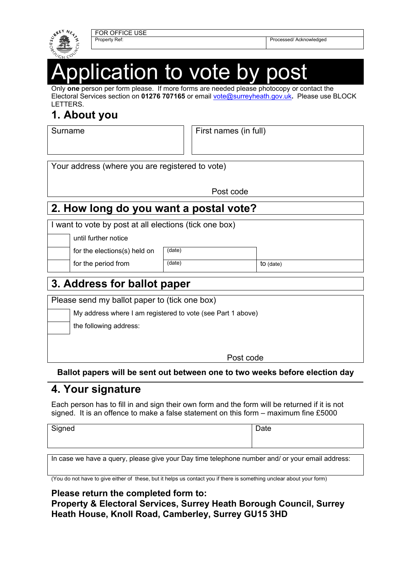

FOR OFFICE USE

Property Ref: Property Ref: Property Ref: Property Ref: Property Ref: Property Ref: Property Ref: Property Ref: Property Ref: Property Ref: Property Ref: Property Ref: Property Ref: Property Ref: Property Ref: Property Ref

# ication to vote by

Only **one** person per form please. If more forms are needed please photocopy or contact the Electoral Services section on **01276 707165** or email vote@surreyheath.gov.uk**.** Please use BLOCK LETTERS.

## **1. About you**

Surname **First names (in full)** 

Your address (where you are registered to vote)

Post code

## **2. How long do you want a postal vote?**

I want to vote by post at all elections (tick one box)

until further notice

for the elections(s) held on  $\sqrt{\text{(date)}}$ 

for the period from  $(\text{date})$   $\qquad \qquad$  to (date)

## **3. Address for ballot paper**

Please send my ballot paper to (tick one box)

My address where I am registered to vote (see Part 1 above)

the following address:

Post code

#### **Ballot papers will be sent out between one to two weeks before election day**

## **4. Your signature**

Each person has to fill in and sign their own form and the form will be returned if it is not signed. It is an offence to make a false statement on this form – maximum fine £5000

Signed Date **Date** 

In case we have a query, please give your Day time telephone number and/ or your email address:

(You do not have to give either of these, but it helps us contact you if there is something unclear about your form)

#### **Please return the completed form to:**

**Property & Electoral Services, Surrey Heath Borough Council, Surrey Heath House, Knoll Road, Camberley, Surrey GU15 3HD**